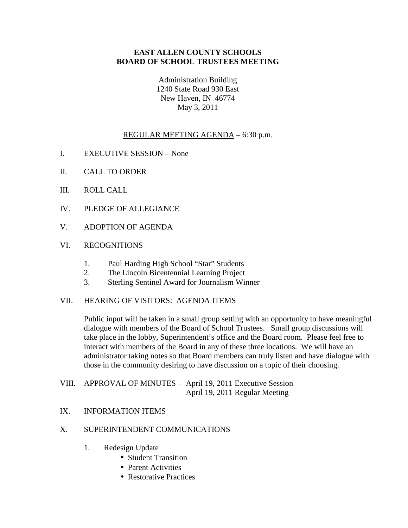# **EAST ALLEN COUNTY SCHOOLS BOARD OF SCHOOL TRUSTEES MEETING**

Administration Building 1240 State Road 930 East New Haven, IN 46774 May 3, 2011

# REGULAR MEETING AGENDA – 6:30 p.m.

- I. EXECUTIVE SESSION None
- II. CALL TO ORDER
- III. ROLL CALL
- IV. PLEDGE OF ALLEGIANCE
- V. ADOPTION OF AGENDA

# VI. RECOGNITIONS

- 1. Paul Harding High School "Star" Students
- 2. The Lincoln Bicentennial Learning Project
- 3. Sterling Sentinel Award for Journalism Winner

### VII. HEARING OF VISITORS: AGENDA ITEMS

Public input will be taken in a small group setting with an opportunity to have meaningful dialogue with members of the Board of School Trustees. Small group discussions will take place in the lobby, Superintendent's office and the Board room. Please feel free to interact with members of the Board in any of these three locations. We will have an administrator taking notes so that Board members can truly listen and have dialogue with those in the community desiring to have discussion on a topic of their choosing.

# VIII. APPROVAL OF MINUTES – April 19, 2011 Executive Session April 19, 2011 Regular Meeting

### IX. INFORMATION ITEMS

# X. SUPERINTENDENT COMMUNICATIONS

- 1. Redesign Update
	- Student Transition
	- Parent Activities
	- Restorative Practices